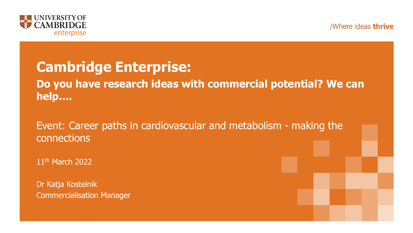



#### **Cambridge Enterprise:**

**Do you have research ideas with commercial potential? We can help….** 

Event: Career paths in cardiovascular and metabolism - making the connections

11<sup>th</sup> March 2022

Dr Katja Kostelnik Commercialisation Manager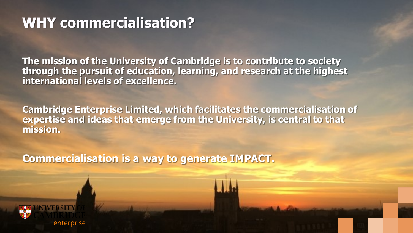#### **WHY commercialisation?**

**The mission of the University of Cambridge is to contribute to society through the pursuit of education, learning, and research at the highest international levels of excellence.**

**Cambridge Enterprise Limited, which facilitates the commercialisation of expertise and ideas that emerge from the University, is central to that mission.**

**Commercialisation is a way to generate IMPACT.**



enterprise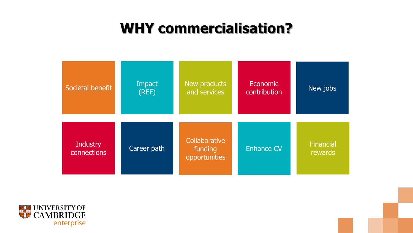#### **WHY commercialisation?**



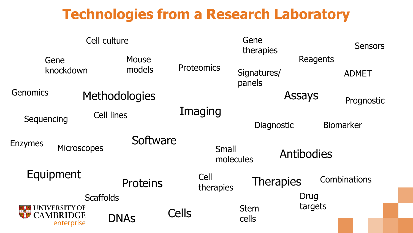#### **Technologies from a Research Laboratory**

| Cell culture                            |                                |                        |              | Gene<br>therapies  |                       |                                |                          |              | <b>Sensors</b> |
|-----------------------------------------|--------------------------------|------------------------|--------------|--------------------|-----------------------|--------------------------------|--------------------------|--------------|----------------|
| Gene<br>knockdown                       |                                | <b>Mouse</b><br>models |              | Proteomics         | Signatures/<br>panels |                                | Reagents<br><b>ADMET</b> |              |                |
| <b>Genomics</b><br><b>Methodologies</b> |                                |                        |              |                    |                       | Assays                         |                          | Prognostic   |                |
| Cell lines<br>Sequencing                |                                |                        | Imaging      |                    |                       |                                |                          |              |                |
| <b>Enzymes</b>                          | Software<br><b>Microscopes</b> |                        |              | Small<br>molecules | Diagnostic            | <b>Biomarker</b><br>Antibodies |                          |              |                |
| Equipment                               |                                | <b>Proteins</b>        |              | Cell<br>therapies  |                       | <b>Therapies</b>               |                          | Combinations |                |
| <b>Scaffolds</b>                        |                                |                        |              |                    | <b>Drug</b>           |                                |                          |              |                |
| <b>I INIVERSITY OF</b><br>CAMBRIDGE     | enterprise                     | <b>DNAS</b>            | <b>Cells</b> |                    | <b>Stem</b><br>cells  | targets                        |                          |              |                |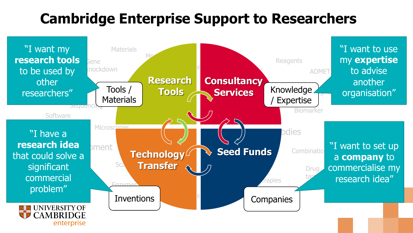### **Cambridge Enterprise Support to Researchers**

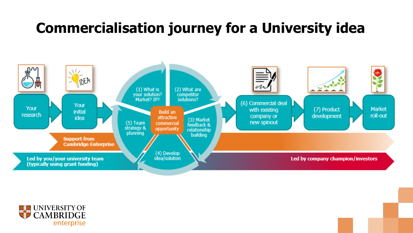#### **Commercialisation journey for a University idea**



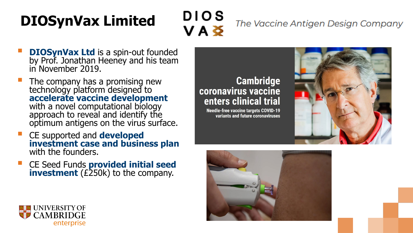# **DIOSynVax Limited**

**DIOS** VAŠ

The Vaccine Antigen Design Company

- **DIOSynVax Ltd** is a spin-out founded by Prof. Jonathan Heeney and his team in November 2019.
- The company has a promising new technology platform designed to **accelerate vaccine development**  with a novel computational biology approach to reveal and identify the optimum antigens on the virus surface.
- CE supported and **developed investment case and business plan**  with the founders.
- CE Seed Funds **provided initial seed investment** (£250k) to the company.

#### **Cambridge** coronavirus vaccine enters clinical trial

**Needle-free vaccine targets COVID-19** variants and future coronaviruses